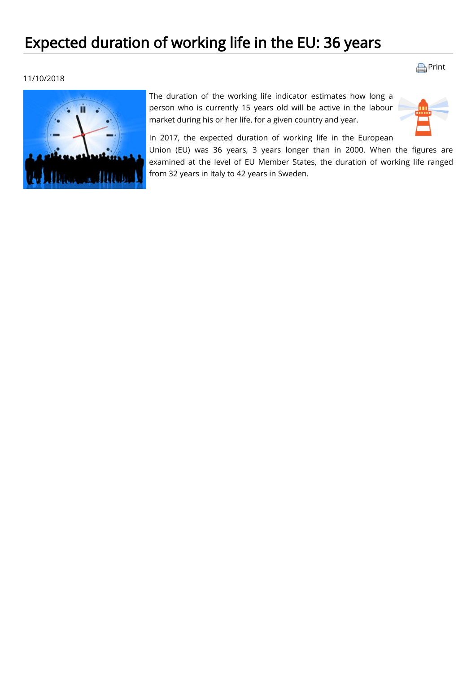## Expected duration of working life in the EU: 36 years

## 11/10/2018



The duration of the working life indicator estimates how long a [person who is currently 15 years old will be](https://ec.europa.eu/eurostat/statistics-explained/index.php?title=Glossary:Labour_market) [active](https://ec.europa.eu/eurostat/statistics-explained/index.php?title=Glossary:Active_population) [in the labour](https://ec.europa.eu/eurostat/statistics-explained/index.php?title=Glossary:Labour_market) market during his or her life, for a given country and year.



**[Print](javascript:print();)** 

In 2017, the expected duration of working life in the European

Union (EU) was 36 years, 3 years longer than in 2000. When the figures are examined at the level of EU Member States, the duration of working life ranged from 32 years in Italy to 42 years in Sweden.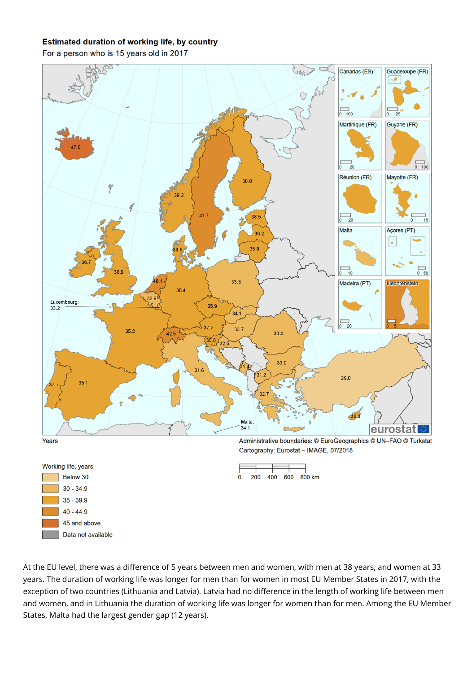## **Estimated duration of working life, by country**

For a person who is 15 years old in 2017

Data not available



At the EU level, there was a difference of 5 years between men and women, with men at 38 years, and women at 33 years. The duration of working life was longer for men than for women in most EU Member States in 2017, with the exception of two countries (Lithuania and Latvia). Latvia had no difference in the length of working life between men and women, and in Lithuania the duration of working life was longer for women than for men. Among the EU Member States, Malta had the largest gender gap (12 years).